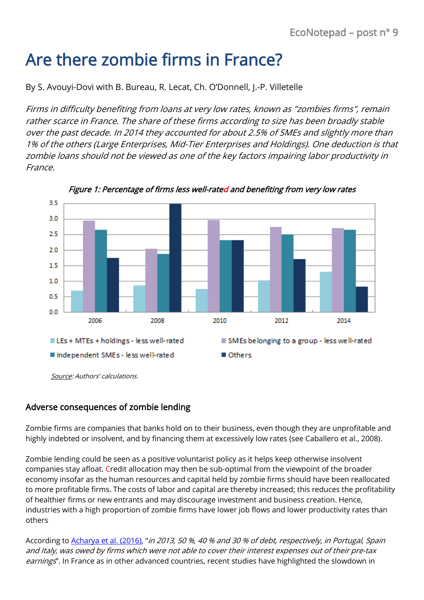# Are there zombie firms in France?

By S. Avouyi-Dovi with B. Bureau, R. Lecat, Ch. O'Donnell, J.-P. Villetelle

Firms in difficulty benefiting from loans at very low rates, known as "zombies firms", remain rather scarce in France. The share of these firms according to size has been broadly stable over the past decade. In 2014 they accounted for about 2.5% of SMEs and slightly more than 1% of the others (Large Enterprises, Mid-Tier Enterprises and Holdings). One deduction is that zombie loans should not be viewed as one of the key factors impairing labor productivity in France.



Figure 1: Percentage of firms less well-rated and benefiting from very low rates

#### Adverse consequences of zombie lending

Zombie firms are companies that banks hold on to their business, even though they are unprofitable and highly indebted or insolvent, and by financing them at excessively low rates (see Caballero et al., 2008).

Zombie lending could be seen as a positive voluntarist policy as it helps keep otherwise insolvent companies stay afloat. Credit allocation may then be sub-optimal from the viewpoint of the broader economy insofar as the human resources and capital held by zombie firms should have been reallocated to more profitable firms. The costs of labor and capital are thereby increased; this reduces the profitability of healthier firms or new entrants and may discourage investment and business creation. Hence, industries with a high proportion of zombie firms have lower job flows and lower productivity rates than others

According to [Acharya et al.](https://www.econstor.eu/bitstream/10419/147245/1/87144805X.pdf) (2016), "in 2013, 50 %, 40 % and 30 % of debt, respectively, in Portugal, Spain and Italy, was owed by firms which were not able to cover their interest expenses out of their pre-tax earnings". In France as in other advanced countries, recent studies have highlighted the slowdown in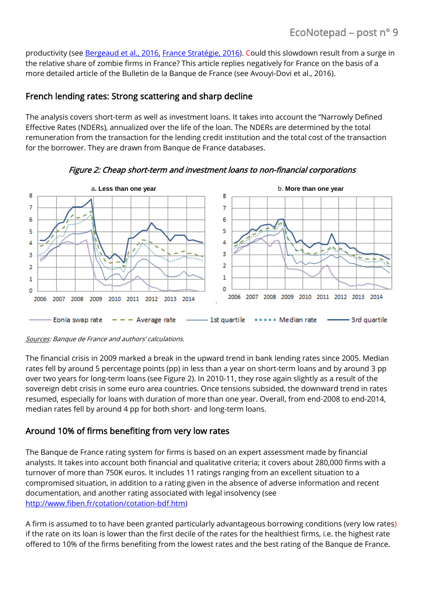productivity (se[e Bergeaud et al., 2016,](http://onlinelibrary.wiley.com/doi/10.1111/roiw.12185/suppinfo) [France Stratégie, 2016\)](http://www.strategie.gouv.fr/publications/comprendre-ralentissement-de-productivite-france). Could this slowdown result from a surge in the relative share of zombie firms in France? This article replies negatively for France on the basis of a more detailed article of the Bulletin de la Banque de France (see Avouyi-Dovi et al., 2016).

## French lending rates: Strong scattering and sharp decline

The analysis covers short-term as well as investment loans. It takes into account the "Narrowly Defined Effective Rates (NDERs), annualized over the life of the loan. The NDERs are determined by the total remuneration from the transaction for the lending credit institution and the total cost of the transaction for the borrower. They are drawn from Banque de France databases.



Figure 2: Cheap short-term and investment loans to non-financial corporations

Sources: Banque de France and authors' calculations.

The financial crisis in 2009 marked a break in the upward trend in bank lending rates since 2005. Median rates fell by around 5 percentage points (pp) in less than a year on short-term loans and by around 3 pp over two years for long-term loans (see Figure 2). In 2010-11, they rose again slightly as a result of the sovereign debt crisis in some euro area countries. Once tensions subsided, the downward trend in rates resumed, especially for loans with duration of more than one year. Overall, from end-2008 to end-2014, median rates fell by around 4 pp for both short- and long-term loans.

## Around 10% of firms benefiting from very low rates

The Banque de France rating system for firms is based on an expert assessment made by financial analysts. It takes into account both financial and qualitative criteria; it covers about 280,000 firms with a turnover of more than 750K euros. It includes 11 ratings ranging from an excellent situation to a compromised situation, in addition to a rating given in the absence of adverse information and recent documentation, and another rating associated with legal insolvency (see [http://www.fiben.fr/cotation/cotation-bdf.htm\)](http://www.fiben.fr/cotation/cotation-bdf.htm)

A firm is assumed to to have been granted particularly advantageous borrowing conditions (very low rates) if the rate on its loan is lower than the first decile of the rates for the healthiest firms, i.e. the highest rate offered to 10% of the firms benefiting from the lowest rates and the best rating of the Banque de France.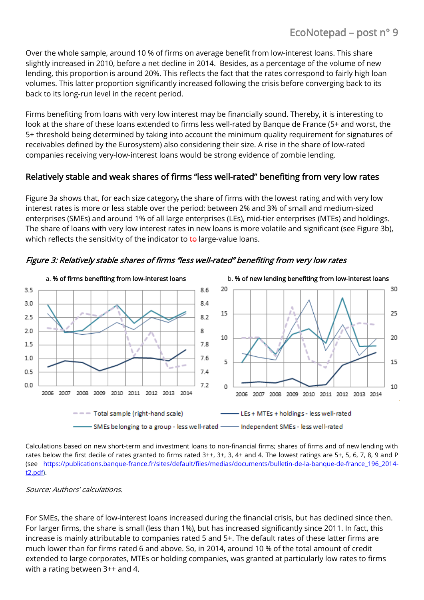Over the whole sample, around 10 % of firms on average benefit from low-interest loans. This share slightly increased in 2010, before a net decline in 2014. Besides, as a percentage of the volume of new lending, this proportion is around 20%. This reflects the fact that the rates correspond to fairly high loan volumes. This latter proportion significantly increased following the crisis before converging back to its back to its long-run level in the recent period.

Firms benefiting from loans with very low interest may be financially sound. Thereby, it is interesting to look at the share of these loans extended to firms less well-rated by Banque de France (5+ and worst, the 5+ threshold being determined by taking into account the minimum quality requirement for signatures of receivables defined by the Eurosystem) also considering their size. A rise in the share of low-rated companies receiving very-low-interest loans would be strong evidence of zombie lending.

## Relatively stable and weak shares of firms "less well-rated" benefiting from very low rates

Figure 3a shows that, for each size category, the share of firms with the lowest rating and with very low interest rates is more or less stable over the period: between 2% and 3% of small and medium-sized enterprises (SMEs) and around 1% of all large enterprises (LEs), mid-tier enterprises (MTEs) and holdings. The share of loans with very low interest rates in new loans is more volatile and significant (see Figure 3b), which reflects the sensitivity of the indicator to to large-value loans.



#### Figure 3: Relatively stable shares of firms "less well-rated" benefiting from very low rates

Calculations based on new short-term and investment loans to non-financial firms; shares of firms and of new lending with rates below the first decile of rates granted to firms rated 3++, 3+, 3, 4+ and 4. The lowest ratings are 5+, 5, 6, 7, 8, 9 and P (see [https://publications.banque-france.fr/sites/default/files/medias/documents/bulletin-de-la-banque-de-france\\_196\\_2014](https://publications.banque-france.fr/sites/default/files/medias/documents/bulletin-de-la-banque-de-france_196_2014-t2.pdf) [t2.pdf\)](https://publications.banque-france.fr/sites/default/files/medias/documents/bulletin-de-la-banque-de-france_196_2014-t2.pdf).

#### Source: Authors' calculations.

For SMEs, the share of low-interest loans increased during the financial crisis, but has declined since then. For larger firms, the share is small (less than 1%), but has increased significantly since 2011. In fact, this increase is mainly attributable to companies rated 5 and 5+. The default rates of these latter firms are much lower than for firms rated 6 and above. So, in 2014, around 10 % of the total amount of credit extended to large corporates, MTEs or holding companies, was granted at particularly low rates to firms with a rating between 3++ and 4.